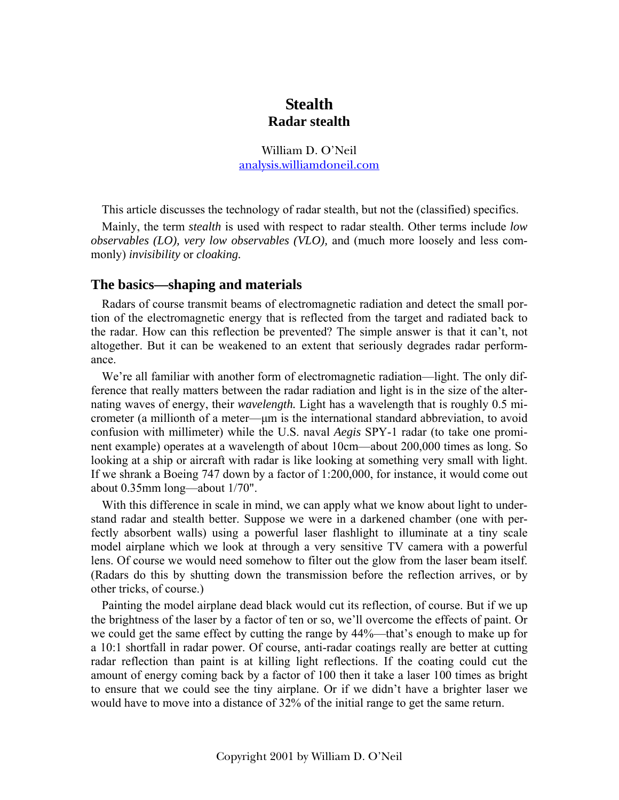# **Stealth Radar stealth**

William D. O'Neil [analysis.williamdoneil.com](http://www.analysis.williamdoneil.com/)

This article discusses the technology of radar stealth, but not the (classified) specifics.

Mainly, the term *stealth* is used with respect to radar stealth. Other terms include *low observables (LO), very low observables (VLO),* and (much more loosely and less commonly) *invisibility* or *cloaking.*

## **The basics—shaping and materials**

Radars of course transmit beams of electromagnetic radiation and detect the small portion of the electromagnetic energy that is reflected from the target and radiated back to the radar. How can this reflection be prevented? The simple answer is that it can't, not altogether. But it can be weakened to an extent that seriously degrades radar performance.

We're all familiar with another form of electromagnetic radiation—light. The only difference that really matters between the radar radiation and light is in the size of the alternating waves of energy, their *wavelength.* Light has a wavelength that is roughly 0.5 micrometer (a millionth of a meter—μm is the international standard abbreviation, to avoid confusion with millimeter) while the U.S. naval *Aegis* SPY-1 radar (to take one prominent example) operates at a wavelength of about 10cm—about 200,000 times as long. So looking at a ship or aircraft with radar is like looking at something very small with light. If we shrank a Boeing 747 down by a factor of 1:200,000, for instance, it would come out about 0.35mm long—about 1/70".

With this difference in scale in mind, we can apply what we know about light to understand radar and stealth better. Suppose we were in a darkened chamber (one with perfectly absorbent walls) using a powerful laser flashlight to illuminate at a tiny scale model airplane which we look at through a very sensitive TV camera with a powerful lens. Of course we would need somehow to filter out the glow from the laser beam itself. (Radars do this by shutting down the transmission before the reflection arrives, or by other tricks, of course.)

Painting the model airplane dead black would cut its reflection, of course. But if we up the brightness of the laser by a factor of ten or so, we'll overcome the effects of paint. Or we could get the same effect by cutting the range by 44%—that's enough to make up for a 10:1 shortfall in radar power. Of course, anti-radar coatings really are better at cutting radar reflection than paint is at killing light reflections. If the coating could cut the amount of energy coming back by a factor of 100 then it take a laser 100 times as bright to ensure that we could see the tiny airplane. Or if we didn't have a brighter laser we would have to move into a distance of 32% of the initial range to get the same return.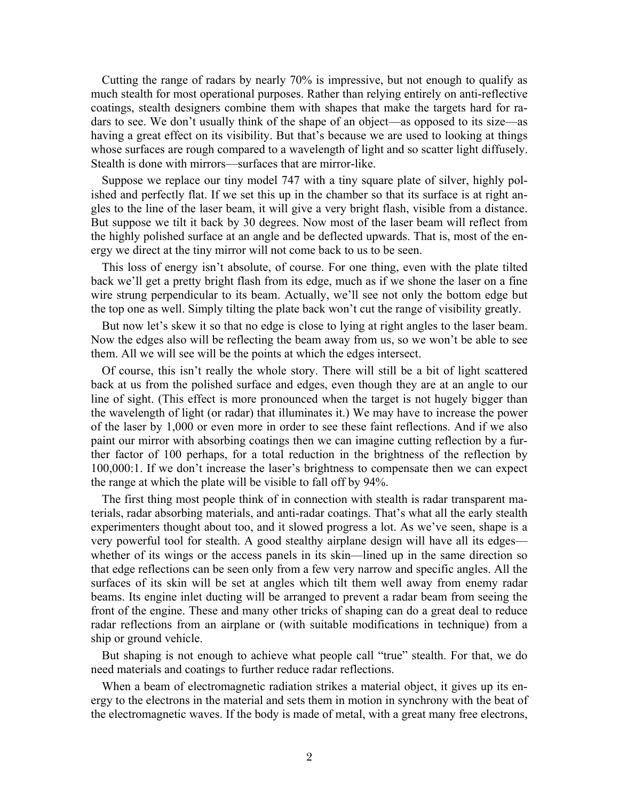Cutting the range of radars by nearly 70% is impressive, but not enough to qualify as much stealth for most operational purposes. Rather than relying entirely on anti-reflective coatings, stealth designers combine them with shapes that make the targets hard for radars to see. We don't usually think of the shape of an object—as opposed to its size—as having a great effect on its visibility. But that's because we are used to looking at things whose surfaces are rough compared to a wavelength of light and so scatter light diffusely. Stealth is done with mirrors—surfaces that are mirror-like.

Suppose we replace our tiny model 747 with a tiny square plate of silver, highly polished and perfectly flat. If we set this up in the chamber so that its surface is at right angles to the line of the laser beam, it will give a very bright flash, visible from a distance. But suppose we tilt it back by 30 degrees. Now most of the laser beam will reflect from the highly polished surface at an angle and be deflected upwards. That is, most of the energy we direct at the tiny mirror will not come back to us to be seen.

This loss of energy isn't absolute, of course. For one thing, even with the plate tilted back we'll get a pretty bright flash from its edge, much as if we shone the laser on a fine wire strung perpendicular to its beam. Actually, we'll see not only the bottom edge but the top one as well. Simply tilting the plate back won't cut the range of visibility greatly.

But now let's skew it so that no edge is close to lying at right angles to the laser beam. Now the edges also will be reflecting the beam away from us, so we won't be able to see them. All we will see will be the points at which the edges intersect.

Of course, this isn't really the whole story. There will still be a bit of light scattered back at us from the polished surface and edges, even though they are at an angle to our line of sight. (This effect is more pronounced when the target is not hugely bigger than the wavelength of light (or radar) that illuminates it.) We may have to increase the power of the laser by 1,000 or even more in order to see these faint reflections. And if we also paint our mirror with absorbing coatings then we can imagine cutting reflection by a further factor of 100 perhaps, for a total reduction in the brightness of the reflection by 100,000:1. If we don't increase the laser's brightness to compensate then we can expect the range at which the plate will be visible to fall off by 94%.

The first thing most people think of in connection with stealth is radar transparent materials, radar absorbing materials, and anti-radar coatings. That's what all the early stealth experimenters thought about too, and it slowed progress a lot. As we've seen, shape is a very powerful tool for stealth. A good stealthy airplane design will have all its edges whether of its wings or the access panels in its skin—lined up in the same direction so that edge reflections can be seen only from a few very narrow and specific angles. All the surfaces of its skin will be set at angles which tilt them well away from enemy radar beams. Its engine inlet ducting will be arranged to prevent a radar beam from seeing the front of the engine. These and many other tricks of shaping can do a great deal to reduce radar reflections from an airplane or (with suitable modifications in technique) from a ship or ground vehicle.

But shaping is not enough to achieve what people call "true" stealth. For that, we do need materials and coatings to further reduce radar reflections.

When a beam of electromagnetic radiation strikes a material object, it gives up its energy to the electrons in the material and sets them in motion in synchrony with the beat of the electromagnetic waves. If the body is made of metal, with a great many free electrons,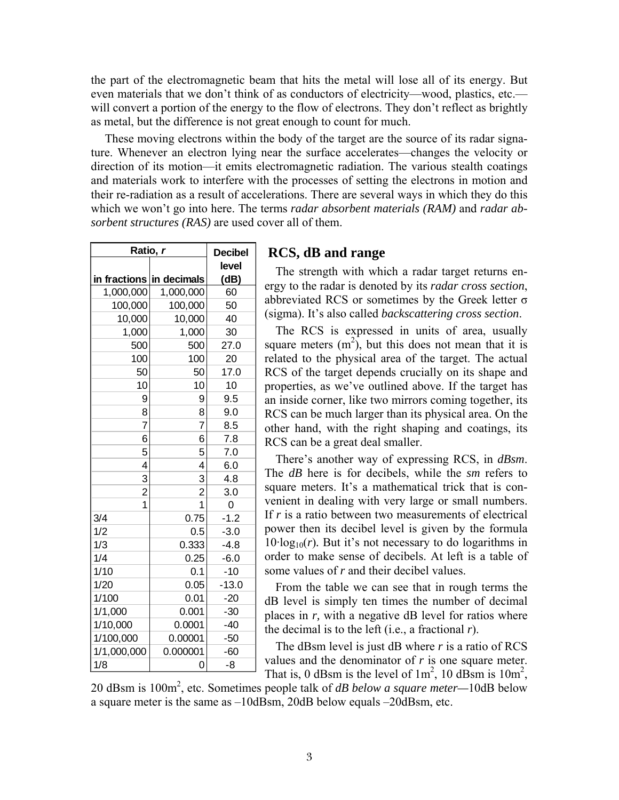the part of the electromagnetic beam that hits the metal will lose all of its energy. But even materials that we don't think of as conductors of electricity—wood, plastics, etc. will convert a portion of the energy to the flow of electrons. They don't reflect as brightly as metal, but the difference is not great enough to count for much.

 These moving electrons within the body of the target are the source of its radar signature. Whenever an electron lying near the surface accelerates—changes the velocity or direction of its motion—it emits electromagnetic radiation. The various stealth coatings and materials work to interfere with the processes of setting the electrons in motion and their re-radiation as a result of accelerations. There are several ways in which they do this which we won't go into here. The terms *radar absorbent materials (RAM)* and *radar absorbent structures (RAS)* are used cover all of them.

| Ratio, r                                  | <b>Decibel</b> |         |
|-------------------------------------------|----------------|---------|
|                                           |                |         |
| in fractions                              | in decimals    | (dB)    |
| 1,000,000                                 | 1,000,000      | 60      |
| 100,000                                   | 100,000        | 50      |
| 10,000                                    | 10,000         | 40      |
| 1,000                                     | 1,000          | 30      |
| 500                                       | 500            | 27.0    |
| 100                                       | 100            | 20      |
| 50                                        | 50             | 17.0    |
| 10                                        | 10             | 10      |
| 9                                         | 9              | 9.5     |
| 8                                         | 8              | 9.0     |
| 7                                         | 7              | 8.5     |
| 6                                         | 6              | 7.8     |
|                                           | 5              | 7.0     |
|                                           | 4              | 6.0     |
|                                           | $\overline{3}$ | 4.8     |
| $\frac{5}{4}$ $\frac{3}{2}$ $\frac{2}{1}$ | $\overline{a}$ | 3.0     |
|                                           | 1              | 0       |
| 3/4                                       | 0.75           | $-1.2$  |
| 1/2                                       | 0.5            | $-3.0$  |
| 1/3                                       | 0.333          | $-4.8$  |
| 1/4                                       | 0.25           | $-6.0$  |
| 1/10                                      | 0.1            | $-10$   |
| 1/20                                      | 0.05           | $-13.0$ |
| 1/100                                     | 0.01           | $-20$   |
| 1/1,000                                   | 0.001          | $-30$   |
| 1/10,000                                  | 0.0001         | $-40$   |
| 1/100,000                                 | 0.00001        | $-50$   |
| 1/1,000,000                               | 0.000001       | $-60$   |
| 1/8                                       | 0              | -8      |

## **RCS, dB and range**

The strength with which a radar target returns energy to the radar is denoted by its *radar cross section*, abbreviated RCS or sometimes by the Greek letter σ (sigma). It's also called *backscattering cross section*.

The RCS is expressed in units of area, usually square meters  $(m^2)$ , but this does not mean that it is related to the physical area of the target. The actual RCS of the target depends crucially on its shape and properties, as we've outlined above. If the target has an inside corner, like two mirrors coming together, its RCS can be much larger than its physical area. On the other hand, with the right shaping and coatings, its RCS can be a great deal smaller.

There's another way of expressing RCS, in *dBsm*. The *dB* here is for decibels, while the *sm* refers to square meters. It's a mathematical trick that is convenient in dealing with very large or small numbers. If *r* is a ratio between two measurements of electrical power then its decibel level is given by the formula  $10$ ·log<sub>10</sub> $(r)$ . But it's not necessary to do logarithms in order to make sense of decibels. At left is a table of some values of *r* and their decibel values.

From the table we can see that in rough terms the dB level is simply ten times the number of decimal places in *r*, with a negative dB level for ratios where the decimal is to the left (i.e., a fractional *r*).

The dBsm level is just dB where *r* is a ratio of RCS values and the denominator of *r* is one square meter. That is, 0 dBsm is the level of  $1m^2$ , 10 dBsm is  $10m^2$ ,

20 dBsm is 100m2 , etc. Sometimes people talk of *dB below a square meter—*10dB below a square meter is the same as –10dBsm, 20dB below equals –20dBsm, etc.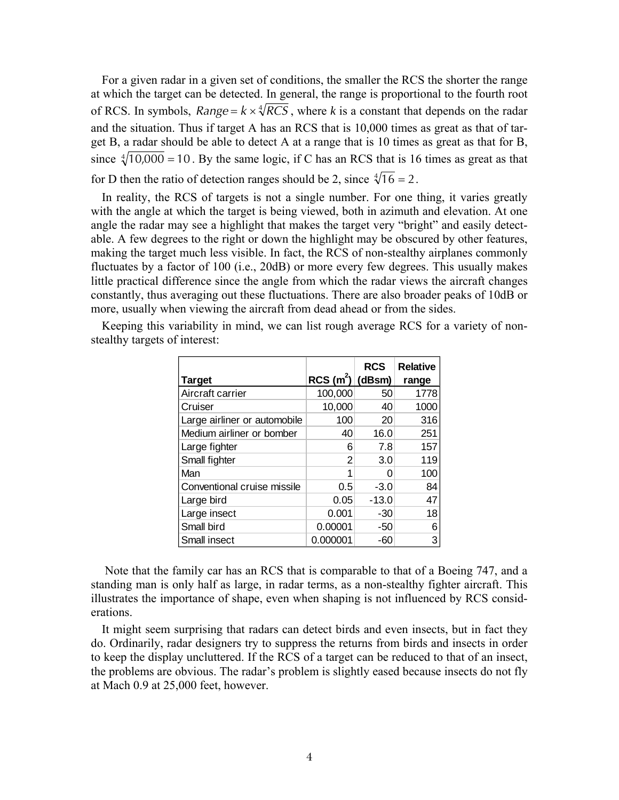For a given radar in a given set of conditions, the smaller the RCS the shorter the range at which the target can be detected. In general, the range is proportional to the fourth root of RCS. In symbols,  $Range = k \times \sqrt[4]{RCS}$ , where *k* is a constant that depends on the radar and the situation. Thus if target A has an RCS that is 10,000 times as great as that of target B, a radar should be able to detect A at a range that is 10 times as great as that for B, since  $\sqrt[4]{10,000} = 10$ . By the same logic, if C has an RCS that is 16 times as great as that for D then the ratio of detection ranges should be 2, since  $\sqrt[4]{16} = 2$ .

In reality, the RCS of targets is not a single number. For one thing, it varies greatly with the angle at which the target is being viewed, both in azimuth and elevation. At one angle the radar may see a highlight that makes the target very "bright" and easily detectable. A few degrees to the right or down the highlight may be obscured by other features, making the target much less visible. In fact, the RCS of non-stealthy airplanes commonly fluctuates by a factor of 100 (i.e., 20dB) or more every few degrees. This usually makes little practical difference since the angle from which the radar views the aircraft changes constantly, thus averaging out these fluctuations. There are also broader peaks of 10dB or more, usually when viewing the aircraft from dead ahead or from the sides.

|                              |                     | <b>RCS</b> | <b>Relative</b> |
|------------------------------|---------------------|------------|-----------------|
| <b>Target</b>                | $RCS(m^{2})$ (dBsm) |            | range           |
| Aircraft carrier             | 100,000             | 50         | 1778            |
| Cruiser                      | 10,000              | 40         | 1000            |
| Large airliner or automobile | 100                 | 20         | 316             |
| Medium airliner or bomber    | 40                  | 16.0       | 251             |
| Large fighter                | 6                   | 7.8        | 157             |
| Small fighter                | 2                   | 3.0        | 119             |
| Man                          |                     |            | 100             |
| Conventional cruise missile  | 0.5                 | $-3.0$     | 84              |
| Large bird                   | 0.05                | $-13.0$    | 47              |
| Large insect                 | 0.001               | $-30$      | 18              |
| Small bird                   | 0.00001             | -50        | 6               |
| Small insect                 | 0.000001            | -60        | 3               |

Keeping this variability in mind, we can list rough average RCS for a variety of nonstealthy targets of interest:

 Note that the family car has an RCS that is comparable to that of a Boeing 747, and a standing man is only half as large, in radar terms, as a non-stealthy fighter aircraft. This illustrates the importance of shape, even when shaping is not influenced by RCS considerations.

It might seem surprising that radars can detect birds and even insects, but in fact they do. Ordinarily, radar designers try to suppress the returns from birds and insects in order to keep the display uncluttered. If the RCS of a target can be reduced to that of an insect, the problems are obvious. The radar's problem is slightly eased because insects do not fly at Mach 0.9 at 25,000 feet, however.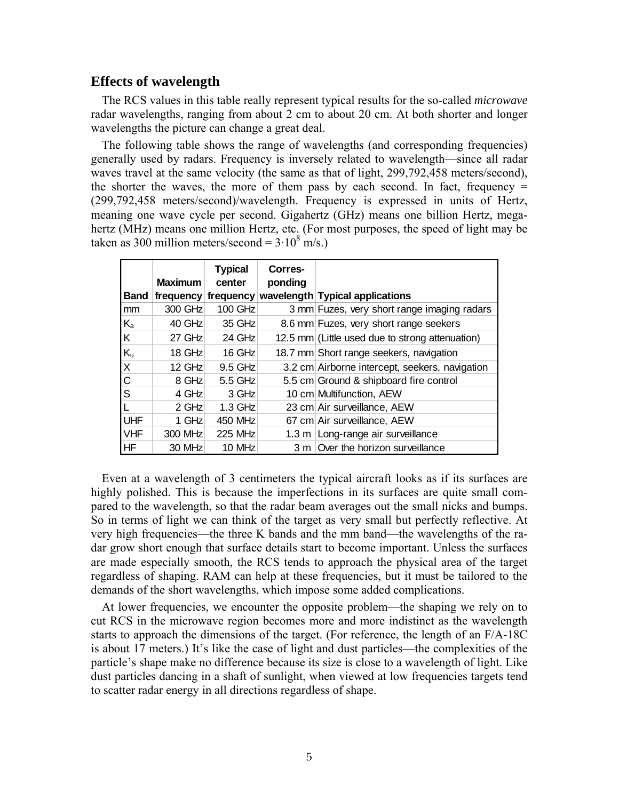## **Effects of wavelength**

The RCS values in this table really represent typical results for the so-called *microwave* radar wavelengths, ranging from about 2 cm to about 20 cm. At both shorter and longer wavelengths the picture can change a great deal.

The following table shows the range of wavelengths (and corresponding frequencies) generally used by radars. Frequency is inversely related to wavelength—since all radar waves travel at the same velocity (the same as that of light, 299,792,458 meters/second), the shorter the waves, the more of them pass by each second. In fact, frequency  $=$ (299,792,458 meters/second)/wavelength. Frequency is expressed in units of Hertz, meaning one wave cycle per second. Gigahertz (GHz) means one billion Hertz, megahertz (MHz) means one million Hertz, etc. (For most purposes, the speed of light may be taken as 300 million meters/second =  $3.10^8$  m/s.)

|                         | <b>Maximum</b>      | <b>Typical</b><br>center | Corres-<br>ponding |                                                 |
|-------------------------|---------------------|--------------------------|--------------------|-------------------------------------------------|
| <b>Band</b>             | frequency frequency |                          |                    | wavelength Typical applications                 |
| mm                      | 300 GHz             | 100 GHz                  |                    | 3 mm Fuzes, very short range imaging radars     |
| $\mathsf{K}_\mathsf{a}$ | 40 GHz              | 35 GHz                   |                    | 8.6 mm Fuzes, very short range seekers          |
| Κ                       | $27$ GHz            | $24$ GHz                 |                    | 12.5 mm (Little used due to strong attenuation) |
| $K_{u}$                 | $18$ GHz            | 16 GHz                   |                    | 18.7 mm Short range seekers, navigation         |
| $\times$                | $12$ GHz            | $9.5$ GHz                |                    | 3.2 cm Airborne intercept, seekers, navigation  |
| C                       | 8 GHz               | 5.5 GHz                  |                    | 5.5 cm Ground & shipboard fire control          |
| S                       | 4 GHz               | 3 GHz                    |                    | 10 cm Multifunction, AEW                        |
|                         | $2$ GHz             | $1.3$ GHz                |                    | 23 cm Air surveillance, AEW                     |
| <b>UHF</b>              | 1 GHz               | 450 MHz                  |                    | 67 cm Air surveillance, AEW                     |
| <b>VHF</b>              | 300 MHz             | <b>225 MHz</b>           | 1.3 m              | Long-range air surveillance                     |
| ΗF                      | 30 MHz              | 10 MHz                   | 3 m                | Over the horizon surveillance                   |

Even at a wavelength of 3 centimeters the typical aircraft looks as if its surfaces are highly polished. This is because the imperfections in its surfaces are quite small compared to the wavelength, so that the radar beam averages out the small nicks and bumps. So in terms of light we can think of the target as very small but perfectly reflective. At very high frequencies—the three K bands and the mm band—the wavelengths of the radar grow short enough that surface details start to become important. Unless the surfaces are made especially smooth, the RCS tends to approach the physical area of the target regardless of shaping. RAM can help at these frequencies, but it must be tailored to the demands of the short wavelengths, which impose some added complications.

At lower frequencies, we encounter the opposite problem—the shaping we rely on to cut RCS in the microwave region becomes more and more indistinct as the wavelength starts to approach the dimensions of the target. (For reference, the length of an F/A-18C is about 17 meters.) It's like the case of light and dust particles—the complexities of the particle's shape make no difference because its size is close to a wavelength of light. Like dust particles dancing in a shaft of sunlight, when viewed at low frequencies targets tend to scatter radar energy in all directions regardless of shape.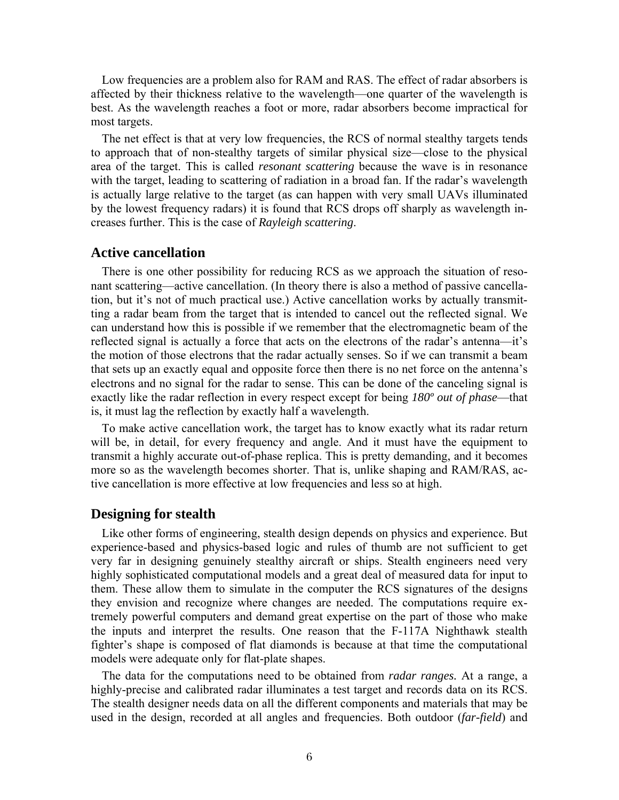Low frequencies are a problem also for RAM and RAS. The effect of radar absorbers is affected by their thickness relative to the wavelength—one quarter of the wavelength is best. As the wavelength reaches a foot or more, radar absorbers become impractical for most targets.

The net effect is that at very low frequencies, the RCS of normal stealthy targets tends to approach that of non-stealthy targets of similar physical size—close to the physical area of the target. This is called *resonant scattering* because the wave is in resonance with the target, leading to scattering of radiation in a broad fan. If the radar's wavelength is actually large relative to the target (as can happen with very small UAVs illuminated by the lowest frequency radars) it is found that RCS drops off sharply as wavelength increases further. This is the case of *Rayleigh scattering*.

#### **Active cancellation**

There is one other possibility for reducing RCS as we approach the situation of resonant scattering—active cancellation. (In theory there is also a method of passive cancellation, but it's not of much practical use.) Active cancellation works by actually transmitting a radar beam from the target that is intended to cancel out the reflected signal. We can understand how this is possible if we remember that the electromagnetic beam of the reflected signal is actually a force that acts on the electrons of the radar's antenna—it's the motion of those electrons that the radar actually senses. So if we can transmit a beam that sets up an exactly equal and opposite force then there is no net force on the antenna's electrons and no signal for the radar to sense. This can be done of the canceling signal is exactly like the radar reflection in every respect except for being *180º out of phase*—that is, it must lag the reflection by exactly half a wavelength.

To make active cancellation work, the target has to know exactly what its radar return will be, in detail, for every frequency and angle. And it must have the equipment to transmit a highly accurate out-of-phase replica. This is pretty demanding, and it becomes more so as the wavelength becomes shorter. That is, unlike shaping and RAM/RAS, active cancellation is more effective at low frequencies and less so at high.

#### **Designing for stealth**

Like other forms of engineering, stealth design depends on physics and experience. But experience-based and physics-based logic and rules of thumb are not sufficient to get very far in designing genuinely stealthy aircraft or ships. Stealth engineers need very highly sophisticated computational models and a great deal of measured data for input to them. These allow them to simulate in the computer the RCS signatures of the designs they envision and recognize where changes are needed. The computations require extremely powerful computers and demand great expertise on the part of those who make the inputs and interpret the results. One reason that the F-117A Nighthawk stealth fighter's shape is composed of flat diamonds is because at that time the computational models were adequate only for flat-plate shapes.

The data for the computations need to be obtained from *radar ranges.* At a range, a highly-precise and calibrated radar illuminates a test target and records data on its RCS. The stealth designer needs data on all the different components and materials that may be used in the design, recorded at all angles and frequencies. Both outdoor (*far-field*) and